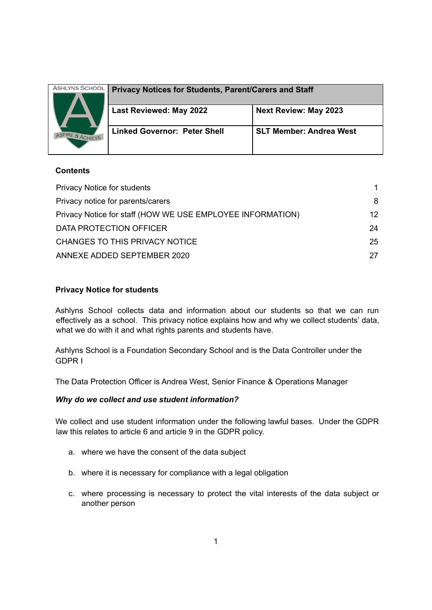| <b>ASHLYNS SCHOOL</b> |                                                              |                                |
|-----------------------|--------------------------------------------------------------|--------------------------------|
| TRE & ACHIEVE         | <b>Privacy Notices for Students, Parent/Carers and Staff</b> |                                |
|                       | Last Reviewed: May 2022                                      | <b>Next Review: May 2023</b>   |
|                       | <b>Linked Governor: Peter Shell</b>                          | <b>SLT Member: Andrea West</b> |

# **Contents**

| <b>Privacy Notice for students</b>                         |                 |
|------------------------------------------------------------|-----------------|
| Privacy notice for parents/carers                          | 8               |
| Privacy Notice for staff (HOW WE USE EMPLOYEE INFORMATION) | 12 <sup>°</sup> |
| DATA PROTECTION OFFICER                                    | 24              |
| CHANGES TO THIS PRIVACY NOTICE                             | 25              |
| ANNEXE ADDED SEPTEMBER 2020                                | 27              |

# **Privacy Notice for students**

Ashlyns School collects data and information about our students so that we can run effectively as a school. This privacy notice explains how and why we collect students' data, what we do with it and what rights parents and students have.

Ashlyns School is a Foundation Secondary School and is the Data Controller under the GDPR I

The Data Protection Officer is Andrea West, Senior Finance & Operations Manager

# *Why do we collect and use student information?*

We collect and use student information under the following lawful bases. Under the GDPR law this relates to article 6 and article 9 in the GDPR policy.

- a. where we have the consent of the data subject
- b. where it is necessary for compliance with a legal obligation
- c. where processing is necessary to protect the vital interests of the data subject or another person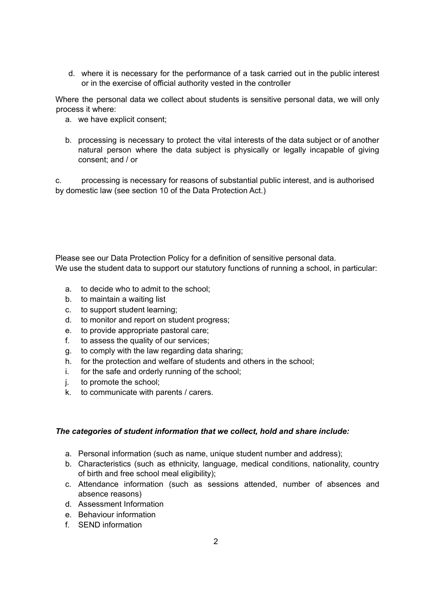d. where it is necessary for the performance of a task carried out in the public interest or in the exercise of official authority vested in the controller

Where the personal data we collect about students is sensitive personal data, we will only process it where:

- a. we have explicit consent;
- b. processing is necessary to protect the vital interests of the data subject or of another natural person where the data subject is physically or legally incapable of giving consent; and / or

c. processing is necessary for reasons of substantial public interest, and is authorised by domestic law (see section 10 of the Data Protection Act.)

Please see our Data Protection Policy for a definition of sensitive personal data. We use the student data to support our statutory functions of running a school, in particular:

- a. to decide who to admit to the school;
- b. to maintain a waiting list
- c. to support student learning;
- d. to monitor and report on student progress;
- e. to provide appropriate pastoral care;
- f. to assess the quality of our services;
- g. to comply with the law regarding data sharing;
- h. for the protection and welfare of students and others in the school;
- i. for the safe and orderly running of the school;
- j. to promote the school;
- k. to communicate with parents / carers.

### *The categories of student information that we collect, hold and share include:*

- a. Personal information (such as name, unique student number and address);
- b. Characteristics (such as ethnicity, language, medical conditions, nationality, country of birth and free school meal eligibility);
- c. Attendance information (such as sessions attended, number of absences and absence reasons)
- d. Assessment Information
- e. Behaviour information
- f. SEND information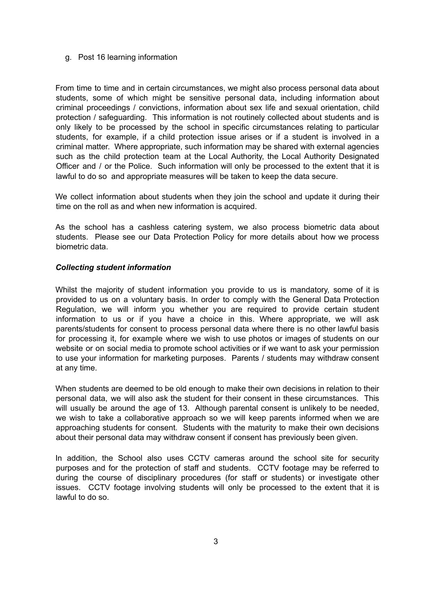#### g. Post 16 learning information

From time to time and in certain circumstances, we might also process personal data about students, some of which might be sensitive personal data, including information about criminal proceedings / convictions, information about sex life and sexual orientation, child protection / safeguarding. This information is not routinely collected about students and is only likely to be processed by the school in specific circumstances relating to particular students, for example, if a child protection issue arises or if a student is involved in a criminal matter. Where appropriate, such information may be shared with external agencies such as the child protection team at the Local Authority, the Local Authority Designated Officer and / or the Police. Such information will only be processed to the extent that it is lawful to do so and appropriate measures will be taken to keep the data secure.

We collect information about students when they join the school and update it during their time on the roll as and when new information is acquired.

As the school has a cashless catering system, we also process biometric data about students. Please see our Data Protection Policy for more details about how we process biometric data.

### *Collecting student information*

Whilst the majority of student information you provide to us is mandatory, some of it is provided to us on a voluntary basis. In order to comply with the General Data Protection Regulation, we will inform you whether you are required to provide certain student information to us or if you have a choice in this. Where appropriate, we will ask parents/students for consent to process personal data where there is no other lawful basis for processing it, for example where we wish to use photos or images of students on our website or on social media to promote school activities or if we want to ask your permission to use your information for marketing purposes. Parents / students may withdraw consent at any time.

When students are deemed to be old enough to make their own decisions in relation to their personal data, we will also ask the student for their consent in these circumstances. This will usually be around the age of 13. Although parental consent is unlikely to be needed, we wish to take a collaborative approach so we will keep parents informed when we are approaching students for consent. Students with the maturity to make their own decisions about their personal data may withdraw consent if consent has previously been given.

In addition, the School also uses CCTV cameras around the school site for security purposes and for the protection of staff and students. CCTV footage may be referred to during the course of disciplinary procedures (for staff or students) or investigate other issues. CCTV footage involving students will only be processed to the extent that it is lawful to do so.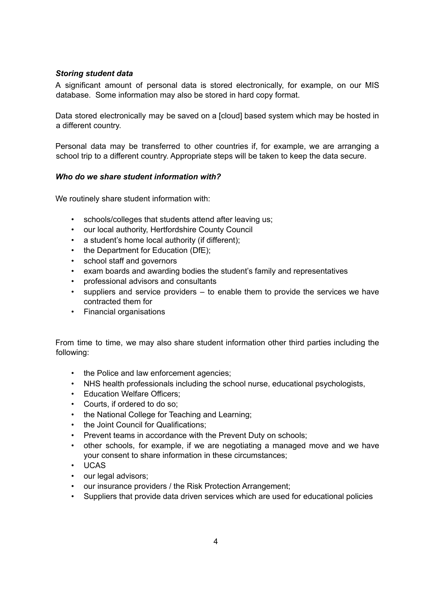# *Storing student data*

A significant amount of personal data is stored electronically, for example, on our MIS database. Some information may also be stored in hard copy format.

Data stored electronically may be saved on a [cloud] based system which may be hosted in a different country.

Personal data may be transferred to other countries if, for example, we are arranging a school trip to a different country. Appropriate steps will be taken to keep the data secure.

## *Who do we share student information with?*

We routinely share student information with:

- schools/colleges that students attend after leaving us;
- our local authority, Hertfordshire County Council
- a student's home local authority (if different);
- the Department for Education (DfE);
- school staff and governors
- exam boards and awarding bodies the student's family and representatives
- professional advisors and consultants
- suppliers and service providers to enable them to provide the services we have contracted them for
- Financial organisations

From time to time, we may also share student information other third parties including the following:

- the Police and law enforcement agencies;
- NHS health professionals including the school nurse, educational psychologists,
- Education Welfare Officers;
- Courts, if ordered to do so;
- the National College for Teaching and Learning;
- the Joint Council for Qualifications;
- Prevent teams in accordance with the Prevent Duty on schools:
- other schools, for example, if we are negotiating a managed move and we have your consent to share information in these circumstances;
- UCAS
- our legal advisors:
- our insurance providers / the Risk Protection Arrangement;
- Suppliers that provide data driven services which are used for educational policies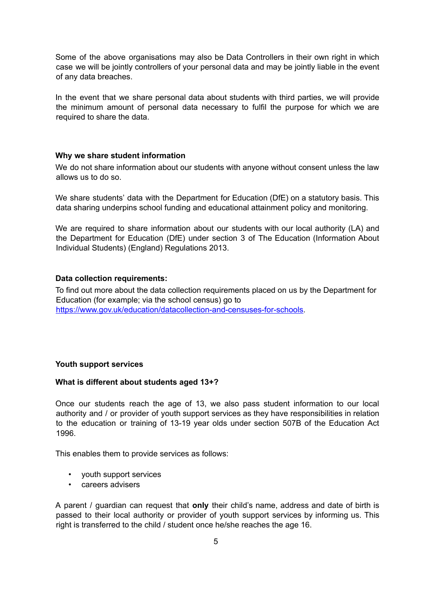Some of the above organisations may also be Data Controllers in their own right in which case we will be jointly controllers of your personal data and may be jointly liable in the event of any data breaches.

In the event that we share personal data about students with third parties, we will provide the minimum amount of personal data necessary to fulfil the purpose for which we are required to share the data.

### **Why we share student information**

We do not share information about our students with anyone without consent unless the law allows us to do so.

We share students' data with the Department for Education (DfE) on a statutory basis. This data sharing underpins school funding and educational attainment policy and monitoring.

We are required to share information about our students with our local authority (LA) and the Department for Education (DfE) under section 3 of The Education (Information About Individual Students) (England) Regulations 2013.

#### **Data collection requirements:**

To find out more about the data collection requirements placed on us by the Department for Education (for example; via the school census) go to [https://www.gov.uk/education/datacollection-and-censuses-for-schools.](https://www.gov.uk/education/data-collection-and-censuses-for-schools)

### **Youth support services**

#### **What is different about students aged 13+?**

Once our students reach the age of 13, we also pass student information to our local authority and / or provider of youth support services as they have responsibilities in relation to the education or training of 13-19 year olds under section 507B of the Education Act 1996.

This enables them to provide services as follows:

- youth support services
- careers advisers

A parent / guardian can request that **only** their child's name, address and date of birth is passed to their local authority or provider of youth support services by informing us. This right is transferred to the child / student once he/she reaches the age 16.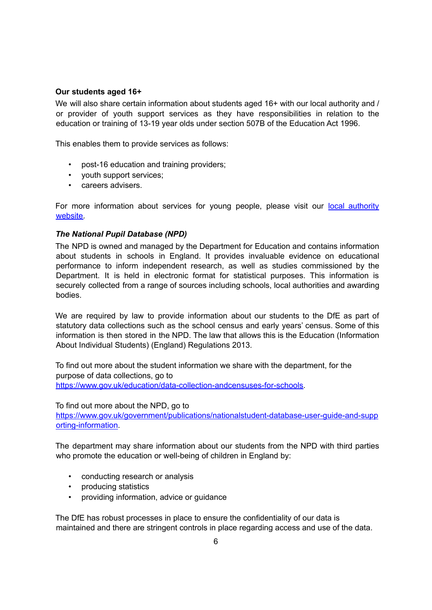### **Our students aged 16+**

We will also share certain information about students aged 16+ with our local authority and / or provider of youth support services as they have responsibilities in relation to the education or training of 13-19 year olds under section 507B of the Education Act 1996.

This enables them to provide services as follows:

- post-16 education and training providers;
- youth support services;
- careers advisers.

For more information about services for young people, please visit our local [authority](http://www.hertsdirect.org/services/youngpeople/) [website.](http://www.hertsdirect.org/services/youngpeople/)

# *The National Pupil Database (NPD)*

The NPD is owned and managed by the Department for Education and contains information about students in schools in England. It provides invaluable evidence on educational performance to inform independent research, as well as studies commissioned by the Department. It is held in electronic format for statistical purposes. This information is securely collected from a range of sources including schools, local authorities and awarding bodies.

We are required by law to provide information about our students to the DfE as part of statutory data collections such as the school census and early years' census. Some of this information is then stored in the NPD. The law that allows this is the Education (Information About Individual Students) (England) Regulations 2013.

To find out more about the student information we share with the department, for the purpose of data collections, go to [https://www.gov.uk/education/data-collection-andcensuses-for-schools.](https://www.gov.uk/education/data-collection-and-censuses-for-schools)

To find out more about the NPD, go to [https://www.gov.uk/government/publications/nationalstudent-database-user-guide-and-supp](https://www.gov.uk/government/publications/national-pupil-database-user-guide-and-supporting-information) [orting-information.](https://www.gov.uk/government/publications/national-pupil-database-user-guide-and-supporting-information)

The department may share information about our students from the NPD with third parties who promote the education or well-being of children in England by:

- conducting research or analysis
- producing statistics
- providing information, advice or guidance

The DfE has robust processes in place to ensure the confidentiality of our data is maintained and there are stringent controls in place regarding access and use of the data.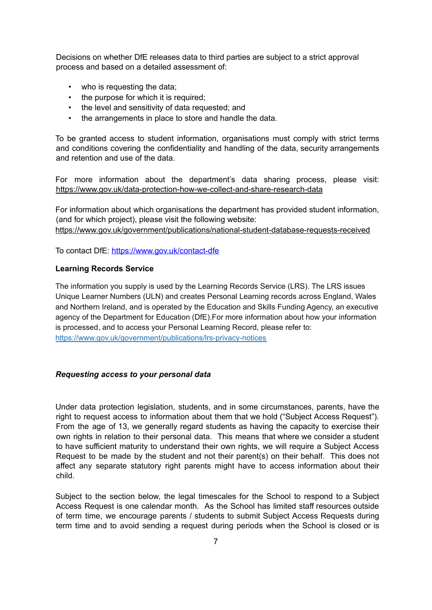Decisions on whether DfE releases data to third parties are subject to a strict approval process and based on a detailed assessment of:

- who is requesting the data:
- the purpose for which it is required:
- the level and sensitivity of data requested; and
- the arrangements in place to store and handle the data.

To be granted access to student information, organisations must comply with strict terms and conditions covering the confidentiality and handling of the data, security arrangements and retention and use of the data.

For more information about the department's data sharing process, please visit: <https://www.gov.uk/data-protection-how-we-collect-and-share-research-data>

For information about which organisations the department has provided student information, (and for which project), please visit the following website: [https://www.gov.uk/government/publications/national-student-database-requests-received](https://www.gov.uk/government/publications/national-pupil-database-requests-received)

To contact DfE: <https://www.gov.uk/contact-dfe>

#### **Learning Records Service**

The information you supply is used by the Learning Records Service (LRS). The LRS issues Unique Learner Numbers (ULN) and creates Personal Learning records across England, Wales and Northern Ireland, and is operated by the Education and Skills Funding Agency, an executive agency of the Department for Education (DfE).For more information about how your information is processed, and to access your Personal Learning Record, please refer to: <https://www.gov.uk/government/publications/lrs-privacy-notices>

#### *Requesting access to your personal data*

Under data protection legislation, students, and in some circumstances, parents, have the right to request access to information about them that we hold ("Subject Access Request"). From the age of 13, we generally regard students as having the capacity to exercise their own rights in relation to their personal data. This means that where we consider a student to have sufficient maturity to understand their own rights, we will require a Subject Access Request to be made by the student and not their parent(s) on their behalf. This does not affect any separate statutory right parents might have to access information about their child.

Subject to the section below, the legal timescales for the School to respond to a Subject Access Request is one calendar month. As the School has limited staff resources outside of term time, we encourage parents / students to submit Subject Access Requests during term time and to avoid sending a request during periods when the School is closed or is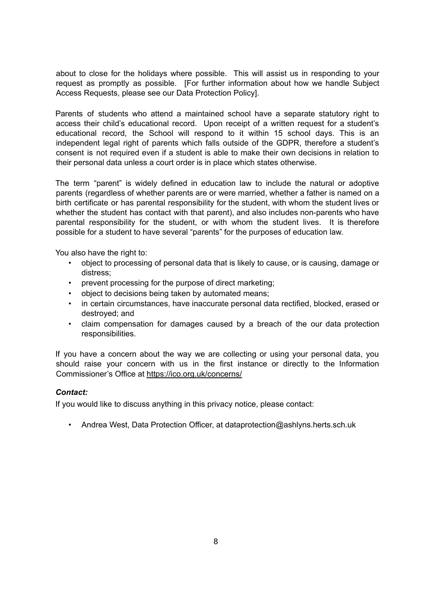about to close for the holidays where possible. This will assist us in responding to your request as promptly as possible. [For further information about how we handle Subject Access Requests, please see our Data Protection Policy].

Parents of students who attend a maintained school have a separate statutory right to access their child's educational record. Upon receipt of a written request for a student's educational record, the School will respond to it within 15 school days. This is an independent legal right of parents which falls outside of the GDPR, therefore a student's consent is not required even if a student is able to make their own decisions in relation to their personal data unless a court order is in place which states otherwise.

The term "parent" is widely defined in education law to include the natural or adoptive parents (regardless of whether parents are or were married, whether a father is named on a birth certificate or has parental responsibility for the student, with whom the student lives or whether the student has contact with that parent), and also includes non-parents who have parental responsibility for the student, or with whom the student lives. It is therefore possible for a student to have several "parents" for the purposes of education law.

You also have the right to:

- object to processing of personal data that is likely to cause, or is causing, damage or distress;
- prevent processing for the purpose of direct marketing;
- object to decisions being taken by automated means;
- in certain circumstances, have inaccurate personal data rectified, blocked, erased or destroyed; and
- claim compensation for damages caused by a breach of the our data protection responsibilities.

If you have a concern about the way we are collecting or using your personal data, you should raise your concern with us in the first instance or directly to the Information Commissioner's Office at <https://ico.org.uk/concerns/>

### *Contact:*

If you would like to discuss anything in this privacy notice, please contact:

• Andrea West, Data Protection Officer, at dataprotection@ashlyns.herts.sch.uk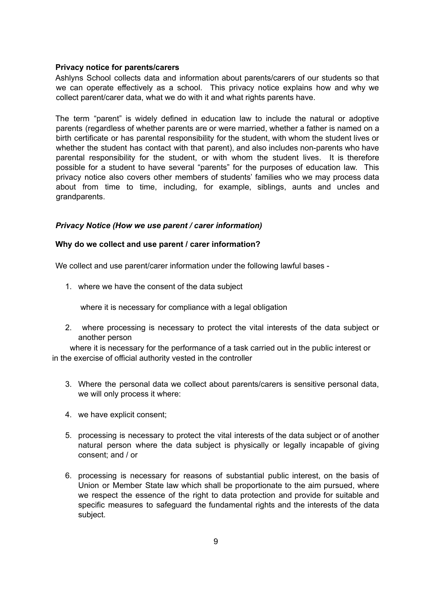### <span id="page-8-0"></span>**Privacy notice for parents/carers**

Ashlyns School collects data and information about parents/carers of our students so that we can operate effectively as a school. This privacy notice explains how and why we collect parent/carer data, what we do with it and what rights parents have.

The term "parent" is widely defined in education law to include the natural or adoptive parents (regardless of whether parents are or were married, whether a father is named on a birth certificate or has parental responsibility for the student, with whom the student lives or whether the student has contact with that parent), and also includes non-parents who have parental responsibility for the student, or with whom the student lives. It is therefore possible for a student to have several "parents" for the purposes of education law. This privacy notice also covers other members of students' families who we may process data about from time to time, including, for example, siblings, aunts and uncles and grandparents.

# *Privacy Notice (How we use parent / carer information)*

## **Why do we collect and use parent / carer information?**

We collect and use parent/carer information under the following lawful bases -

1. where we have the consent of the data subject

where it is necessary for compliance with a legal obligation

2. where processing is necessary to protect the vital interests of the data subject or another person

where it is necessary for the performance of a task carried out in the public interest or in the exercise of official authority vested in the controller

- 3. Where the personal data we collect about parents/carers is sensitive personal data, we will only process it where:
- 4. we have explicit consent;
- 5. processing is necessary to protect the vital interests of the data subject or of another natural person where the data subject is physically or legally incapable of giving consent; and / or
- 6. processing is necessary for reasons of substantial public interest, on the basis of Union or Member State law which shall be proportionate to the aim pursued, where we respect the essence of the right to data protection and provide for suitable and specific measures to safeguard the fundamental rights and the interests of the data subject.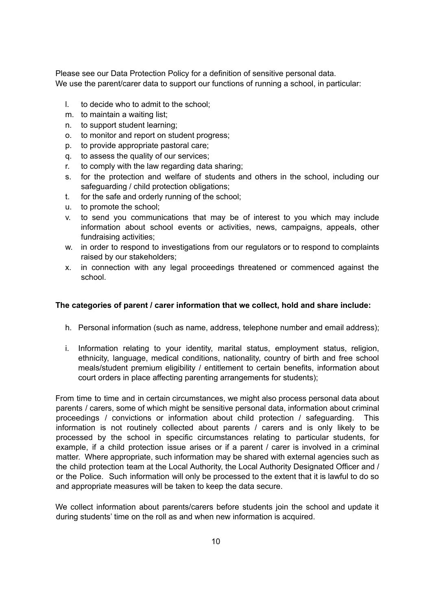Please see our Data Protection Policy for a definition of sensitive personal data. We use the parent/carer data to support our functions of running a school, in particular:

- l. to decide who to admit to the school;
- m. to maintain a waiting list;
- n. to support student learning;
- o. to monitor and report on student progress;
- p. to provide appropriate pastoral care;
- q. to assess the quality of our services;
- r. to comply with the law regarding data sharing;
- s. for the protection and welfare of students and others in the school, including our safeguarding / child protection obligations;
- t. for the safe and orderly running of the school;
- u. to promote the school;
- v. to send you communications that may be of interest to you which may include information about school events or activities, news, campaigns, appeals, other fundraising activities;
- w. in order to respond to investigations from our regulators or to respond to complaints raised by our stakeholders;
- x. in connection with any legal proceedings threatened or commenced against the school.

### **The categories of parent / carer information that we collect, hold and share include:**

- h. Personal information (such as name, address, telephone number and email address);
- i. Information relating to your identity, marital status, employment status, religion, ethnicity, language, medical conditions, nationality, country of birth and free school meals/student premium eligibility / entitlement to certain benefits, information about court orders in place affecting parenting arrangements for students);

From time to time and in certain circumstances, we might also process personal data about parents / carers, some of which might be sensitive personal data, information about criminal proceedings / convictions or information about child protection / safeguarding. This information is not routinely collected about parents / carers and is only likely to be processed by the school in specific circumstances relating to particular students, for example, if a child protection issue arises or if a parent / carer is involved in a criminal matter. Where appropriate, such information may be shared with external agencies such as the child protection team at the Local Authority, the Local Authority Designated Officer and / or the Police. Such information will only be processed to the extent that it is lawful to do so and appropriate measures will be taken to keep the data secure.

We collect information about parents/carers before students join the school and update it during students' time on the roll as and when new information is acquired.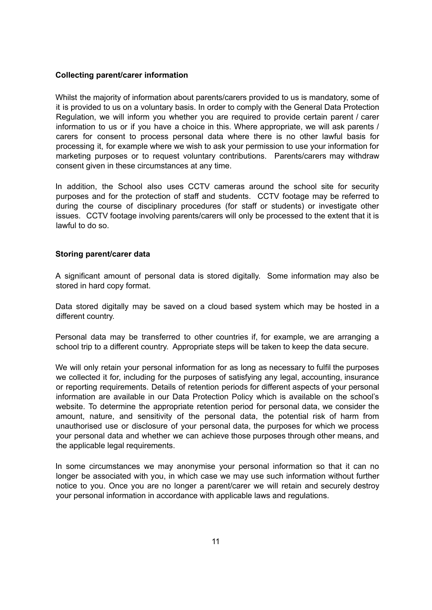### **Collecting parent/carer information**

Whilst the majority of information about parents/carers provided to us is mandatory, some of it is provided to us on a voluntary basis. In order to comply with the General Data Protection Regulation, we will inform you whether you are required to provide certain parent / carer information to us or if you have a choice in this. Where appropriate, we will ask parents / carers for consent to process personal data where there is no other lawful basis for processing it, for example where we wish to ask your permission to use your information for marketing purposes or to request voluntary contributions. Parents/carers may withdraw consent given in these circumstances at any time.

In addition, the School also uses CCTV cameras around the school site for security purposes and for the protection of staff and students. CCTV footage may be referred to during the course of disciplinary procedures (for staff or students) or investigate other issues. CCTV footage involving parents/carers will only be processed to the extent that it is lawful to do so.

### **Storing parent/carer data**

A significant amount of personal data is stored digitally. Some information may also be stored in hard copy format.

Data stored digitally may be saved on a cloud based system which may be hosted in a different country.

Personal data may be transferred to other countries if, for example, we are arranging a school trip to a different country. Appropriate steps will be taken to keep the data secure.

We will only retain your personal information for as long as necessary to fulfil the purposes we collected it for, including for the purposes of satisfying any legal, accounting, insurance or reporting requirements. Details of retention periods for different aspects of your personal information are available in our Data Protection Policy which is available on the school's website. To determine the appropriate retention period for personal data, we consider the amount, nature, and sensitivity of the personal data, the potential risk of harm from unauthorised use or disclosure of your personal data, the purposes for which we process your personal data and whether we can achieve those purposes through other means, and the applicable legal requirements.

In some circumstances we may anonymise your personal information so that it can no longer be associated with you, in which case we may use such information without further notice to you. Once you are no longer a parent/carer we will retain and securely destroy your personal information in accordance with applicable laws and regulations.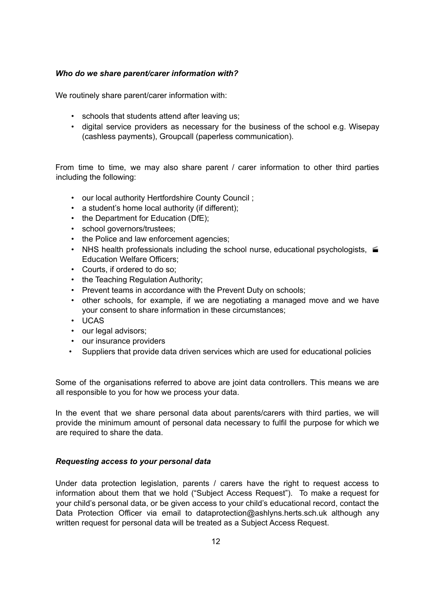## *Who do we share parent/carer information with?*

We routinely share parent/carer information with:

- schools that students attend after leaving us;
- digital service providers as necessary for the business of the school e.g. Wisepay (cashless payments), Groupcall (paperless communication).

From time to time, we may also share parent / carer information to other third parties including the following:

- our local authority Hertfordshire County Council ;
- a student's home local authority (if different);
- the Department for Education (DfE);
- school governors/trustees;
- the Police and law enforcement agencies;
- NHS health professionals including the school nurse, educational psychologists,  $\epsilon$ Education Welfare Officers;
- Courts, if ordered to do so;
- the Teaching Regulation Authority;
- Prevent teams in accordance with the Prevent Duty on schools;
- other schools, for example, if we are negotiating a managed move and we have your consent to share information in these circumstances;
- UCAS
- our legal advisors:
- our insurance providers
- Suppliers that provide data driven services which are used for educational policies

Some of the organisations referred to above are joint data controllers. This means we are all responsible to you for how we process your data.

In the event that we share personal data about parents/carers with third parties, we will provide the minimum amount of personal data necessary to fulfil the purpose for which we are required to share the data.

### *Requesting access to your personal data*

Under data protection legislation, parents / carers have the right to request access to information about them that we hold ("Subject Access Request"). To make a request for your child's personal data, or be given access to your child's educational record, contact the Data Protection Officer via email to dataprotection@ashlyns.herts.sch.uk although any written request for personal data will be treated as a Subject Access Request.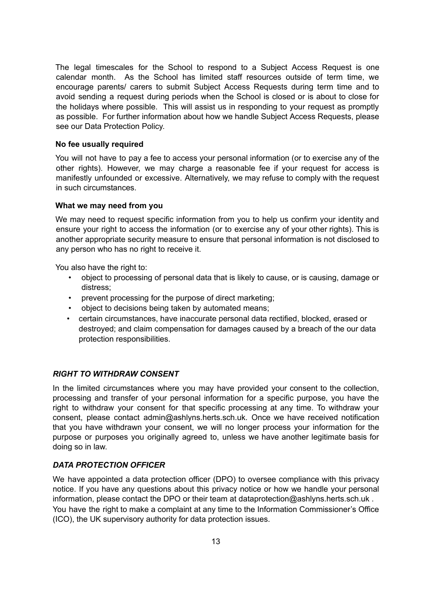The legal timescales for the School to respond to a Subject Access Request is one calendar month. As the School has limited staff resources outside of term time, we encourage parents/ carers to submit Subject Access Requests during term time and to avoid sending a request during periods when the School is closed or is about to close for the holidays where possible. This will assist us in responding to your request as promptly as possible. For further information about how we handle Subject Access Requests, please see our Data Protection Policy.

### **No fee usually required**

You will not have to pay a fee to access your personal information (or to exercise any of the other rights). However, we may charge a reasonable fee if your request for access is manifestly unfounded or excessive. Alternatively, we may refuse to comply with the request in such circumstances.

## **What we may need from you**

We may need to request specific information from you to help us confirm your identity and ensure your right to access the information (or to exercise any of your other rights). This is another appropriate security measure to ensure that personal information is not disclosed to any person who has no right to receive it.

You also have the right to:

- object to processing of personal data that is likely to cause, or is causing, damage or distress;
- prevent processing for the purpose of direct marketing;
- object to decisions being taken by automated means;
- certain circumstances, have inaccurate personal data rectified, blocked, erased or destroyed; and claim compensation for damages caused by a breach of the our data protection responsibilities.

# *RIGHT TO WITHDRAW CONSENT*

In the limited circumstances where you may have provided your consent to the collection, processing and transfer of your personal information for a specific purpose, you have the right to withdraw your consent for that specific processing at any time. To withdraw your consent, please contact admin@ashlyns.herts.sch.uk. Once we have received notification that you have withdrawn your consent, we will no longer process your information for the purpose or purposes you originally agreed to, unless we have another legitimate basis for doing so in law.

# *DATA PROTECTION OFFICER*

We have appointed a data protection officer (DPO) to oversee compliance with this privacy notice. If you have any questions about this privacy notice or how we handle your personal information, please contact the DPO or their team at dataprotection@ashlyns.herts.sch.uk . You have the right to make a complaint at any time to the Information Commissioner's Office (ICO), the UK supervisory authority for data protection issues.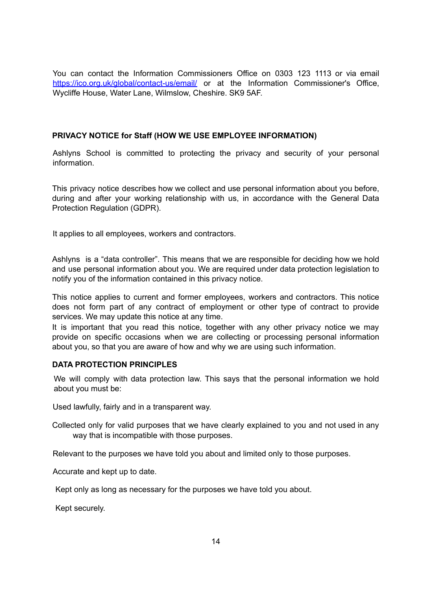You can contact the Information Commissioners Office on 0303 123 1113 or via email <https://ico.org.uk/global/contact-us/email/> or at the Information Commissioner's Office, Wycliffe House, Water Lane, Wilmslow, Cheshire. SK9 5AF.

## <span id="page-13-0"></span>**PRIVACY NOTICE for Staff (HOW WE USE EMPLOYEE INFORMATION)**

Ashlyns School is committed to protecting the privacy and security of your personal information.

This privacy notice describes how we collect and use personal information about you before, during and after your working relationship with us, in accordance with the General Data Protection Regulation (GDPR).

It applies to all employees, workers and contractors.

Ashlyns is a "data controller". This means that we are responsible for deciding how we hold and use personal information about you. We are required under data protection legislation to notify you of the information contained in this privacy notice.

This notice applies to current and former employees, workers and contractors. This notice does not form part of any contract of employment or other type of contract to provide services. We may update this notice at any time.

It is important that you read this notice, together with any other privacy notice we may provide on specific occasions when we are collecting or processing personal information about you, so that you are aware of how and why we are using such information.

### **DATA PROTECTION PRINCIPLES**

We will comply with data protection law. This says that the personal information we hold about you must be:

Used lawfully, fairly and in a transparent way.

Collected only for valid purposes that we have clearly explained to you and not used in any way that is incompatible with those purposes.

Relevant to the purposes we have told you about and limited only to those purposes.

Accurate and kept up to date.

Kept only as long as necessary for the purposes we have told you about.

Kept securely.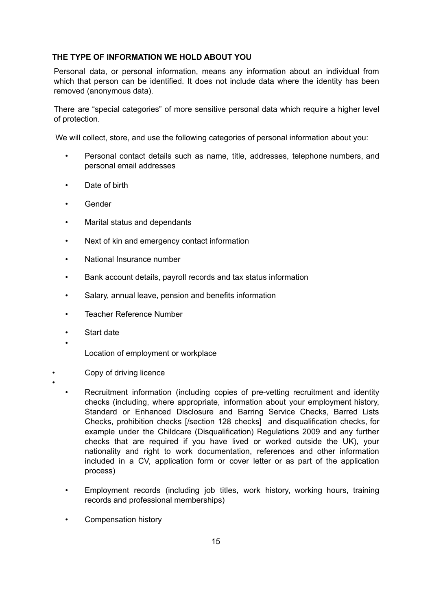### **THE TYPE OF INFORMATION WE HOLD ABOUT YOU**

Personal data, or personal information, means any information about an individual from which that person can be identified. It does not include data where the identity has been removed (anonymous data).

There are "special categories" of more sensitive personal data which require a higher level of protection.

We will collect, store, and use the following categories of personal information about you:

- Personal contact details such as name, title, addresses, telephone numbers, and personal email addresses
- Date of birth
- Gender
- Marital status and dependants
- Next of kin and emergency contact information
- National Insurance number
- Bank account details, payroll records and tax status information
- Salary, annual leave, pension and benefits information
- Teacher Reference Number
- Start date

•

•

- Location of employment or workplace
- Copy of driving licence
	- Recruitment information (including copies of pre-vetting recruitment and identity checks (including, where appropriate, information about your employment history, Standard or Enhanced Disclosure and Barring Service Checks, Barred Lists Checks, prohibition checks [/section 128 checks] and disqualification checks, for example under the Childcare (Disqualification) Regulations 2009 and any further checks that are required if you have lived or worked outside the UK), your nationality and right to work documentation, references and other information included in a CV, application form or cover letter or as part of the application process)
	- Employment records (including job titles, work history, working hours, training records and professional memberships)
	- Compensation history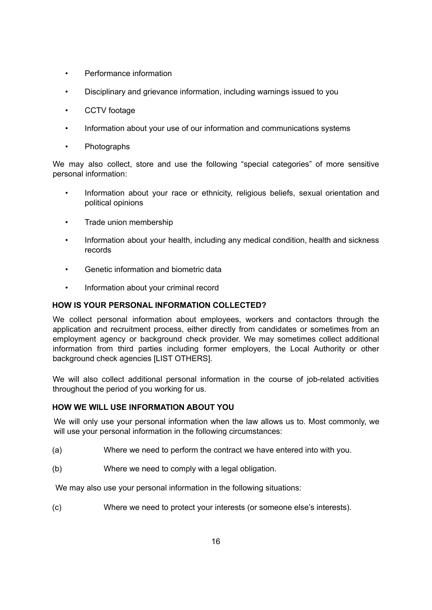- Performance information
- Disciplinary and grievance information, including warnings issued to you
- CCTV footage
- Information about your use of our information and communications systems
- Photographs

We may also collect, store and use the following "special categories" of more sensitive personal information:

- Information about your race or ethnicity, religious beliefs, sexual orientation and political opinions
- Trade union membership
- Information about your health, including any medical condition, health and sickness records
- Genetic information and biometric data
- Information about your criminal record

# **HOW IS YOUR PERSONAL INFORMATION COLLECTED?**

We collect personal information about employees, workers and contactors through the application and recruitment process, either directly from candidates or sometimes from an employment agency or background check provider. We may sometimes collect additional information from third parties including former employers, the Local Authority or other background check agencies [LIST OTHERS].

We will also collect additional personal information in the course of job-related activities throughout the period of you working for us.

# **HOW WE WILL USE INFORMATION ABOUT YOU**

We will only use your personal information when the law allows us to. Most commonly, we will use your personal information in the following circumstances:

- (a) Where we need to perform the contract we have entered into with you.
- (b) Where we need to comply with a legal obligation.

We may also use your personal information in the following situations:

(c) Where we need to protect your interests (or someone else's interests).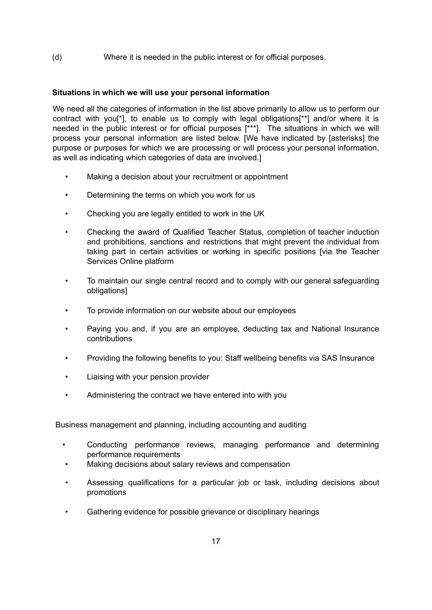# (d) Where it is needed in the public interest or for official purposes.

# **Situations in which we will use your personal information**

We need all the categories of information in the list above primarily to allow us to perform our contract with you[\*], to enable us to comply with legal obligations[\*\*] and/or where it is needed in the public interest or for official purposes [\*\*\*]. The situations in which we will process your personal information are listed below. [We have indicated by [asterisks] the purpose or purposes for which we are processing or will process your personal information, as well as indicating which categories of data are involved.]

- Making a decision about your recruitment or appointment
- Determining the terms on which you work for us
- Checking you are legally entitled to work in the UK
- Checking the award of Qualified Teacher Status, completion of teacher induction and prohibitions, sanctions and restrictions that might prevent the individual from taking part in certain activities or working in specific positions [via the Teacher Services Online platform
- To maintain our single central record and to comply with our general safeguarding obligations]
- To provide information on our website about our employees
- Paying you and, if you are an employee, deducting tax and National Insurance contributions
- Providing the following benefits to you: Staff wellbeing benefits via SAS Insurance
- Liaising with your pension provider
- Administering the contract we have entered into with you

Business management and planning, including accounting and auditing

- Conducting performance reviews, managing performance and determining performance requirements
- Making decisions about salary reviews and compensation
- Assessing qualifications for a particular job or task, including decisions about promotions
- Gathering evidence for possible grievance or disciplinary hearings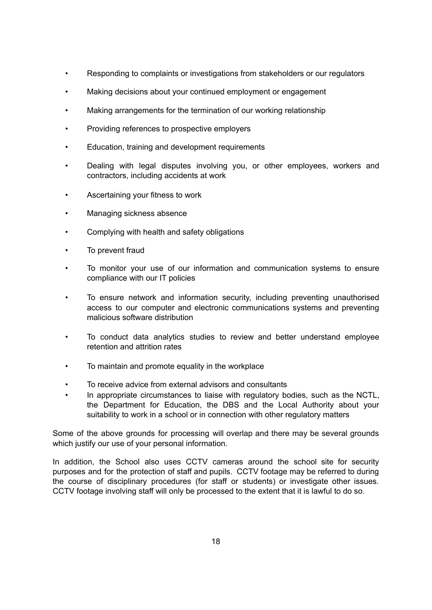- Responding to complaints or investigations from stakeholders or our regulators
- Making decisions about your continued employment or engagement
- Making arrangements for the termination of our working relationship
- Providing references to prospective employers
- Education, training and development requirements
- Dealing with legal disputes involving you, or other employees, workers and contractors, including accidents at work
- Ascertaining your fitness to work
- Managing sickness absence
- Complying with health and safety obligations
- To prevent fraud
- To monitor your use of our information and communication systems to ensure compliance with our IT policies
- To ensure network and information security, including preventing unauthorised access to our computer and electronic communications systems and preventing malicious software distribution
- To conduct data analytics studies to review and better understand employee retention and attrition rates
- To maintain and promote equality in the workplace
- To receive advice from external advisors and consultants
- In appropriate circumstances to liaise with regulatory bodies, such as the NCTL, the Department for Education, the DBS and the Local Authority about your suitability to work in a school or in connection with other regulatory matters

Some of the above grounds for processing will overlap and there may be several grounds which justify our use of your personal information.

In addition, the School also uses CCTV cameras around the school site for security purposes and for the protection of staff and pupils. CCTV footage may be referred to during the course of disciplinary procedures (for staff or students) or investigate other issues. CCTV footage involving staff will only be processed to the extent that it is lawful to do so.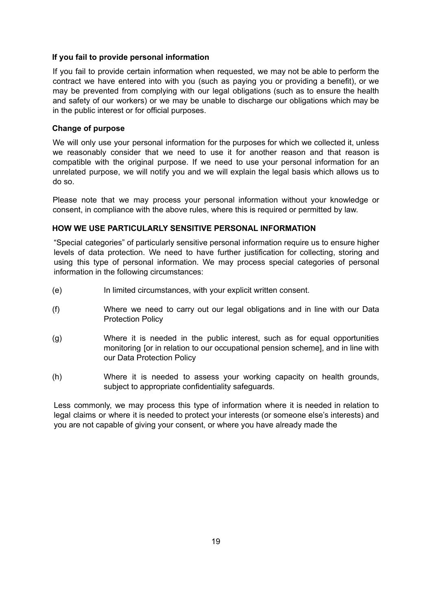### **If you fail to provide personal information**

If you fail to provide certain information when requested, we may not be able to perform the contract we have entered into with you (such as paying you or providing a benefit), or we may be prevented from complying with our legal obligations (such as to ensure the health and safety of our workers) or we may be unable to discharge our obligations which may be in the public interest or for official purposes.

## **Change of purpose**

We will only use your personal information for the purposes for which we collected it, unless we reasonably consider that we need to use it for another reason and that reason is compatible with the original purpose. If we need to use your personal information for an unrelated purpose, we will notify you and we will explain the legal basis which allows us to do so.

Please note that we may process your personal information without your knowledge or consent, in compliance with the above rules, where this is required or permitted by law.

# **HOW WE USE PARTICULARLY SENSITIVE PERSONAL INFORMATION**

"Special categories" of particularly sensitive personal information require us to ensure higher levels of data protection. We need to have further justification for collecting, storing and using this type of personal information. We may process special categories of personal information in the following circumstances:

- (e) In limited circumstances, with your explicit written consent.
- (f) Where we need to carry out our legal obligations and in line with our Data Protection Policy
- (g) Where it is needed in the public interest, such as for equal opportunities monitoring [or in relation to our occupational pension scheme], and in line with our Data Protection Policy
- (h) Where it is needed to assess your working capacity on health grounds, subject to appropriate confidentiality safeguards.

Less commonly, we may process this type of information where it is needed in relation to legal claims or where it is needed to protect your interests (or someone else's interests) and you are not capable of giving your consent, or where you have already made the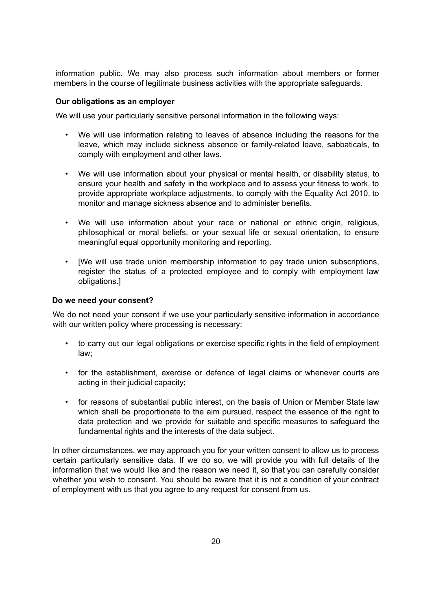information public. We may also process such information about members or former members in the course of legitimate business activities with the appropriate safeguards.

### **Our obligations as an employer**

We will use your particularly sensitive personal information in the following ways:

- We will use information relating to leaves of absence including the reasons for the leave, which may include sickness absence or family-related leave, sabbaticals, to comply with employment and other laws.
- We will use information about your physical or mental health, or disability status, to ensure your health and safety in the workplace and to assess your fitness to work, to provide appropriate workplace adjustments, to comply with the Equality Act 2010, to monitor and manage sickness absence and to administer benefits.
- We will use information about your race or national or ethnic origin, religious, philosophical or moral beliefs, or your sexual life or sexual orientation, to ensure meaningful equal opportunity monitoring and reporting.
- [We will use trade union membership information to pay trade union subscriptions, register the status of a protected employee and to comply with employment law obligations.]

## **Do we need your consent?**

We do not need your consent if we use your particularly sensitive information in accordance with our written policy where processing is necessary:

- to carry out our legal obligations or exercise specific rights in the field of employment law;
- for the establishment, exercise or defence of legal claims or whenever courts are acting in their judicial capacity;
- for reasons of substantial public interest, on the basis of Union or Member State law which shall be proportionate to the aim pursued, respect the essence of the right to data protection and we provide for suitable and specific measures to safeguard the fundamental rights and the interests of the data subject.

In other circumstances, we may approach you for your written consent to allow us to process certain particularly sensitive data. If we do so, we will provide you with full details of the information that we would like and the reason we need it, so that you can carefully consider whether you wish to consent. You should be aware that it is not a condition of your contract of employment with us that you agree to any request for consent from us.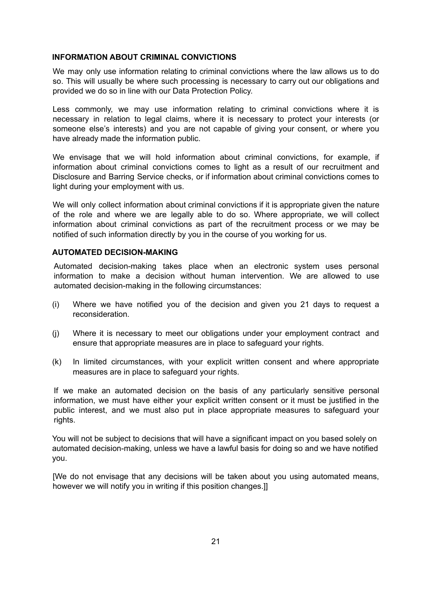#### **INFORMATION ABOUT CRIMINAL CONVICTIONS**

We may only use information relating to criminal convictions where the law allows us to do so. This will usually be where such processing is necessary to carry out our obligations and provided we do so in line with our Data Protection Policy.

Less commonly, we may use information relating to criminal convictions where it is necessary in relation to legal claims, where it is necessary to protect your interests (or someone else's interests) and you are not capable of giving your consent, or where you have already made the information public.

We envisage that we will hold information about criminal convictions, for example, if information about criminal convictions comes to light as a result of our recruitment and Disclosure and Barring Service checks, or if information about criminal convictions comes to light during your employment with us.

We will only collect information about criminal convictions if it is appropriate given the nature of the role and where we are legally able to do so. Where appropriate, we will collect information about criminal convictions as part of the recruitment process or we may be notified of such information directly by you in the course of you working for us.

## **AUTOMATED DECISION-MAKING**

Automated decision-making takes place when an electronic system uses personal information to make a decision without human intervention. We are allowed to use automated decision-making in the following circumstances:

- (i) Where we have notified you of the decision and given you 21 days to request a reconsideration.
- (j) Where it is necessary to meet our obligations under your employment contract and ensure that appropriate measures are in place to safeguard your rights.
- (k) In limited circumstances, with your explicit written consent and where appropriate measures are in place to safeguard your rights.

If we make an automated decision on the basis of any particularly sensitive personal information, we must have either your explicit written consent or it must be justified in the public interest, and we must also put in place appropriate measures to safeguard your rights.

You will not be subject to decisions that will have a significant impact on you based solely on automated decision-making, unless we have a lawful basis for doing so and we have notified you.

[We do not envisage that any decisions will be taken about you using automated means, however we will notify you in writing if this position changes.]]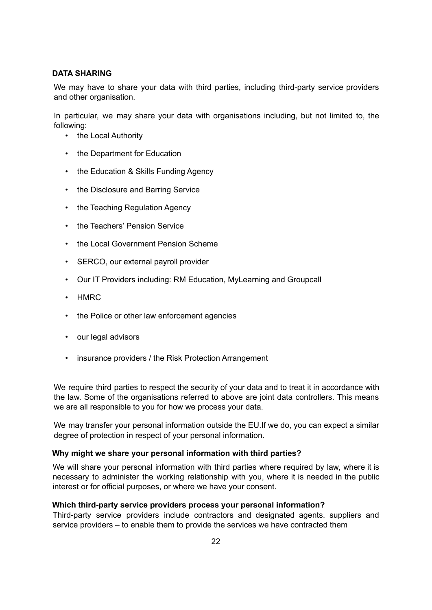# **DATA SHARING**

We may have to share your data with third parties, including third-party service providers and other organisation.

In particular, we may share your data with organisations including, but not limited to, the following:

- the Local Authority
- the Department for Education
- the Education & Skills Funding Agency
- the Disclosure and Barring Service
- the Teaching Regulation Agency
- the Teachers' Pension Service
- the Local Government Pension Scheme
- SERCO, our external payroll provider
- Our IT Providers including: RM Education, MyLearning and Groupcall
- HMRC
- the Police or other law enforcement agencies
- our legal advisors
- insurance providers / the Risk Protection Arrangement

We require third parties to respect the security of your data and to treat it in accordance with the law. Some of the organisations referred to above are joint data controllers. This means we are all responsible to you for how we process your data.

We may transfer your personal information outside the EU.If we do, you can expect a similar degree of protection in respect of your personal information.

# **Why might we share your personal information with third parties?**

We will share your personal information with third parties where required by law, where it is necessary to administer the working relationship with you, where it is needed in the public interest or for official purposes, or where we have your consent.

### **Which third-party service providers process your personal information?**

Third-party service providers include contractors and designated agents. suppliers and service providers – to enable them to provide the services we have contracted them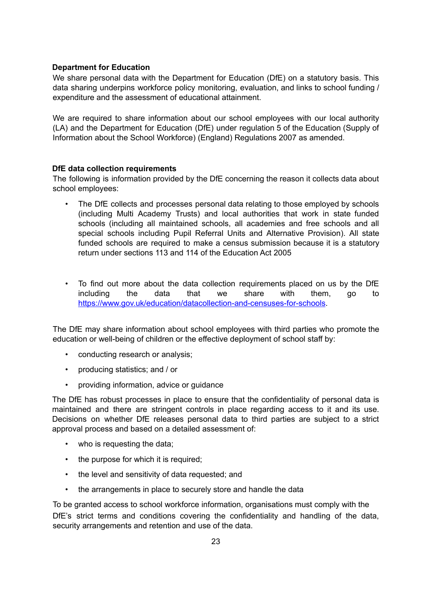## **Department for Education**

We share personal data with the Department for Education (DfE) on a statutory basis. This data sharing underpins workforce policy monitoring, evaluation, and links to school funding / expenditure and the assessment of educational attainment.

We are required to share information about our school employees with our local authority (LA) and the Department for Education (DfE) under regulation 5 of the Education (Supply of Information about the School Workforce) (England) Regulations 2007 as amended.

## **DfE data collection requirements**

The following is information provided by the DfE concerning the reason it collects data about school employees:

- The DfE collects and processes personal data relating to those employed by schools (including Multi Academy Trusts) and local authorities that work in state funded schools (including all maintained schools, all academies and free schools and all special schools including Pupil Referral Units and Alternative Provision). All state funded schools are required to make a census submission because it is a statutory return under sections 113 and 114 of the Education Act 2005
- To find out more about the data collection requirements placed on us by the DfE including the data that we share with them, go to [https://www.gov.uk/education/datacollection-and-censuses-for-schools.](https://www.gov.uk/education/data-collection-and-censuses-for-schools)

The DfE may share information about school employees with third parties who promote the education or well-being of children or the effective deployment of school staff by:

- conducting research or analysis;
- producing statistics; and / or
- providing information, advice or guidance

The DfE has robust processes in place to ensure that the confidentiality of personal data is maintained and there are stringent controls in place regarding access to it and its use. Decisions on whether DfE releases personal data to third parties are subject to a strict approval process and based on a detailed assessment of:

- who is requesting the data;
- the purpose for which it is required;
- the level and sensitivity of data requested; and
- the arrangements in place to securely store and handle the data

To be granted access to school workforce information, organisations must comply with the DfE's strict terms and conditions covering the confidentiality and handling of the data, security arrangements and retention and use of the data.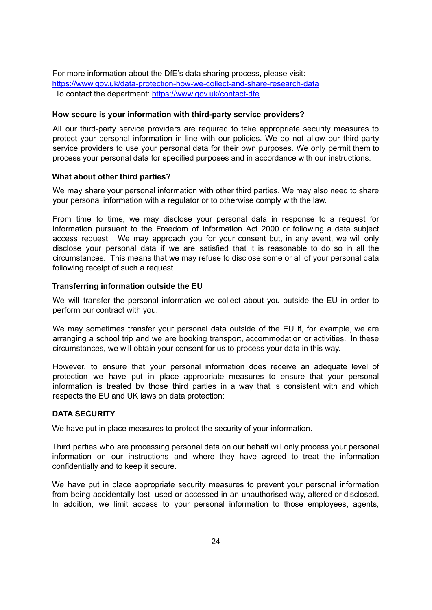For more information about the DfE's data sharing process, please visit: <https://www.gov.uk/data-protection-how-we-collect-and-share-research-data> To contact the department: <https://www.gov.uk/contact-dfe>

#### **How secure is your information with third-party service providers?**

All our third-party service providers are required to take appropriate security measures to protect your personal information in line with our policies. We do not allow our third-party service providers to use your personal data for their own purposes. We only permit them to process your personal data for specified purposes and in accordance with our instructions.

#### **What about other third parties?**

We may share your personal information with other third parties. We may also need to share your personal information with a regulator or to otherwise comply with the law.

From time to time, we may disclose your personal data in response to a request for information pursuant to the Freedom of Information Act 2000 or following a data subject access request. We may approach you for your consent but, in any event, we will only disclose your personal data if we are satisfied that it is reasonable to do so in all the circumstances. This means that we may refuse to disclose some or all of your personal data following receipt of such a request.

#### **Transferring information outside the EU**

We will transfer the personal information we collect about you outside the EU in order to perform our contract with you.

We may sometimes transfer your personal data outside of the EU if, for example, we are arranging a school trip and we are booking transport, accommodation or activities. In these circumstances, we will obtain your consent for us to process your data in this way.

However, to ensure that your personal information does receive an adequate level of protection we have put in place appropriate measures to ensure that your personal information is treated by those third parties in a way that is consistent with and which respects the EU and UK laws on data protection:

#### **DATA SECURITY**

We have put in place measures to protect the security of your information.

Third parties who are processing personal data on our behalf will only process your personal information on our instructions and where they have agreed to treat the information confidentially and to keep it secure.

We have put in place appropriate security measures to prevent your personal information from being accidentally lost, used or accessed in an unauthorised way, altered or disclosed. In addition, we limit access to your personal information to those employees, agents,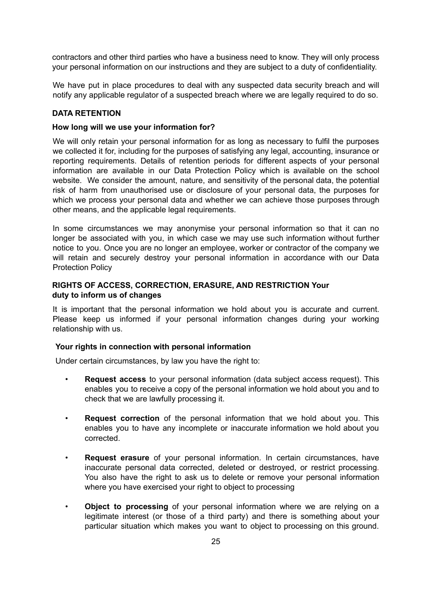contractors and other third parties who have a business need to know. They will only process your personal information on our instructions and they are subject to a duty of confidentiality.

We have put in place procedures to deal with any suspected data security breach and will notify any applicable regulator of a suspected breach where we are legally required to do so.

## **DATA RETENTION**

### **How long will we use your information for?**

We will only retain your personal information for as long as necessary to fulfil the purposes we collected it for, including for the purposes of satisfying any legal, accounting, insurance or reporting requirements. Details of retention periods for different aspects of your personal information are available in our Data Protection Policy which is available on the school website. We consider the amount, nature, and sensitivity of the personal data, the potential risk of harm from unauthorised use or disclosure of your personal data, the purposes for which we process your personal data and whether we can achieve those purposes through other means, and the applicable legal requirements.

In some circumstances we may anonymise your personal information so that it can no longer be associated with you, in which case we may use such information without further notice to you. Once you are no longer an employee, worker or contractor of the company we will retain and securely destroy your personal information in accordance with our Data Protection Policy

## **RIGHTS OF ACCESS, CORRECTION, ERASURE, AND RESTRICTION Your duty to inform us of changes**

It is important that the personal information we hold about you is accurate and current. Please keep us informed if your personal information changes during your working relationship with us.

#### **Your rights in connection with personal information**

Under certain circumstances, by law you have the right to:

- **Request access** to your personal information (data subject access request). This enables you to receive a copy of the personal information we hold about you and to check that we are lawfully processing it.
- **Request correction** of the personal information that we hold about you. This enables you to have any incomplete or inaccurate information we hold about you corrected.
- **Request erasure** of your personal information. In certain circumstances, have inaccurate personal data corrected, deleted or destroyed, or restrict processing. You also have the right to ask us to delete or remove your personal information where you have exercised your right to object to processing
- **Object to processing** of your personal information where we are relying on a legitimate interest (or those of a third party) and there is something about your particular situation which makes you want to object to processing on this ground.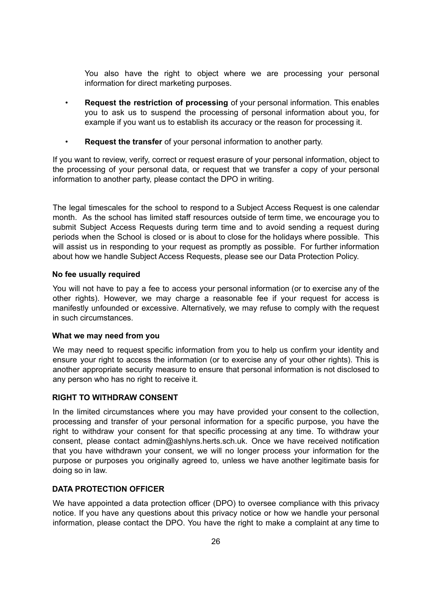You also have the right to object where we are processing your personal information for direct marketing purposes.

- **Request the restriction of processing** of your personal information. This enables you to ask us to suspend the processing of personal information about you, for example if you want us to establish its accuracy or the reason for processing it.
- **Request the transfer** of your personal information to another party.

If you want to review, verify, correct or request erasure of your personal information, object to the processing of your personal data, or request that we transfer a copy of your personal information to another party, please contact the DPO in writing.

The legal timescales for the school to respond to a Subject Access Request is one calendar month. As the school has limited staff resources outside of term time, we encourage you to submit Subject Access Requests during term time and to avoid sending a request during periods when the School is closed or is about to close for the holidays where possible. This will assist us in responding to your request as promptly as possible. For further information about how we handle Subject Access Requests, please see our Data Protection Policy.

#### **No fee usually required**

You will not have to pay a fee to access your personal information (or to exercise any of the other rights). However, we may charge a reasonable fee if your request for access is manifestly unfounded or excessive. Alternatively, we may refuse to comply with the request in such circumstances.

#### **What we may need from you**

We may need to request specific information from you to help us confirm your identity and ensure your right to access the information (or to exercise any of your other rights). This is another appropriate security measure to ensure that personal information is not disclosed to any person who has no right to receive it.

### **RIGHT TO WITHDRAW CONSENT**

In the limited circumstances where you may have provided your consent to the collection, processing and transfer of your personal information for a specific purpose, you have the right to withdraw your consent for that specific processing at any time. To withdraw your consent, please contact admin@ashlyns.herts.sch.uk. Once we have received notification that you have withdrawn your consent, we will no longer process your information for the purpose or purposes you originally agreed to, unless we have another legitimate basis for doing so in law.

## <span id="page-25-0"></span>**DATA PROTECTION OFFICER**

We have appointed a data protection officer (DPO) to oversee compliance with this privacy notice. If you have any questions about this privacy notice or how we handle your personal information, please contact the DPO. You have the right to make a complaint at any time to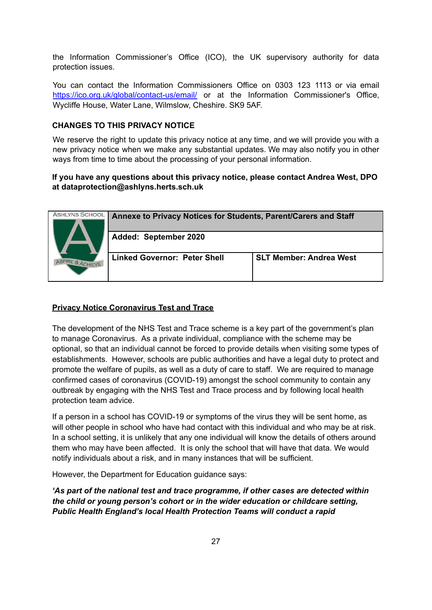the Information Commissioner's Office (ICO), the UK supervisory authority for data protection issues.

You can contact the Information Commissioners Office on 0303 123 1113 or via email <https://ico.org.uk/global/contact-us/email/> or at the Information Commissioner's Office, Wycliffe House, Water Lane, Wilmslow, Cheshire. SK9 5AF.

## **CHANGES TO THIS PRIVACY NOTICE**

We reserve the right to update this privacy notice at any time, and we will provide you with a new privacy notice when we make any substantial updates. We may also notify you in other ways from time to time about the processing of your personal information.

## **If you have any questions about this privacy notice, please contact Andrea West, DPO at dataprotection@ashlyns.herts.sch.uk**

| <b>ASHLYNS SCHOOL</b><br>PIRE & ACHIEVE | Annexe to Privacy Notices for Students, Parent/Carers and Staff |                                |
|-----------------------------------------|-----------------------------------------------------------------|--------------------------------|
|                                         | Added: September 2020                                           |                                |
|                                         | <b>Linked Governor: Peter Shell</b>                             | <b>SLT Member: Andrea West</b> |

### **Privacy Notice Coronavirus Test and Trace**

The development of the NHS Test and Trace scheme is a key part of the government's plan to manage Coronavirus. As a private individual, compliance with the scheme may be optional, so that an individual cannot be forced to provide details when visiting some types of establishments. However, schools are public authorities and have a legal duty to protect and promote the welfare of pupils, as well as a duty of care to staff. We are required to manage confirmed cases of coronavirus (COVID-19) amongst the school community to contain any outbreak by engaging with the NHS Test and Trace process and by following local health protection team advice.

If a person in a school has COVID-19 or symptoms of the virus they will be sent home, as will other people in school who have had contact with this individual and who may be at risk. In a school setting, it is unlikely that any one individual will know the details of others around them who may have been affected. It is only the school that will have that data. We would notify individuals about a risk, and in many instances that will be sufficient.

However, the Department for Education guidance says:

*'As part of the national test and trace programme, if other cases are detected within the child or young person's cohort or in the wider education or childcare setting, Public Health England's local Health Protection Teams will conduct a rapid*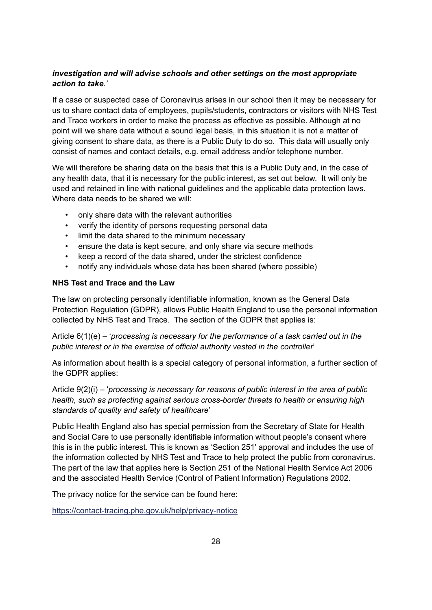# *investigation and will advise schools and other settings on the most appropriate action to take.'*

If a case or suspected case of Coronavirus arises in our school then it may be necessary for us to share contact data of employees, pupils/students, contractors or visitors with NHS Test and Trace workers in order to make the process as effective as possible. Although at no point will we share data without a sound legal basis, in this situation it is not a matter of giving consent to share data, as there is a Public Duty to do so. This data will usually only consist of names and contact details, e.g. email address and/or telephone number.

We will therefore be sharing data on the basis that this is a Public Duty and, in the case of any health data, that it is necessary for the public interest, as set out below. It will only be used and retained in line with national guidelines and the applicable data protection laws. Where data needs to be shared we will:

- only share data with the relevant authorities
- verify the identity of persons requesting personal data
- limit the data shared to the minimum necessary
- ensure the data is kept secure, and only share via secure methods
- keep a record of the data shared, under the strictest confidence
- notify any individuals whose data has been shared (where possible)

## **NHS Test and Trace and the Law**

The law on protecting personally identifiable information, known as the General Data Protection Regulation (GDPR), allows Public Health England to use the personal information collected by NHS Test and Trace. The section of the GDPR that applies is:

Article 6(1)(e) – '*processing is necessary for the performance of a task carried out in the public interest or in the exercise of official authority vested in the controller*'

As information about health is a special category of personal information, a further section of the GDPR applies:

Article 9(2)(i) – '*processing is necessary for reasons of public interest in the area of public health, such as protecting against serious cross-border threats to health or ensuring high standards of quality and safety of healthcare*'

Public Health England also has special permission from the Secretary of State for Health and Social Care to use personally identifiable information without people's consent where this is in the public interest. This is known as 'Section 251' approval and includes the use of the information collected by NHS Test and Trace to help protect the public from coronavirus. The part of the law that applies here is Section 251 of the National Health Service Act 2006 and the associated Health Service (Control of Patient Information) Regulations 2002.

The privacy notice for the service can be found here:

<https://contact-tracing.phe.gov.uk/help/privacy-notice>